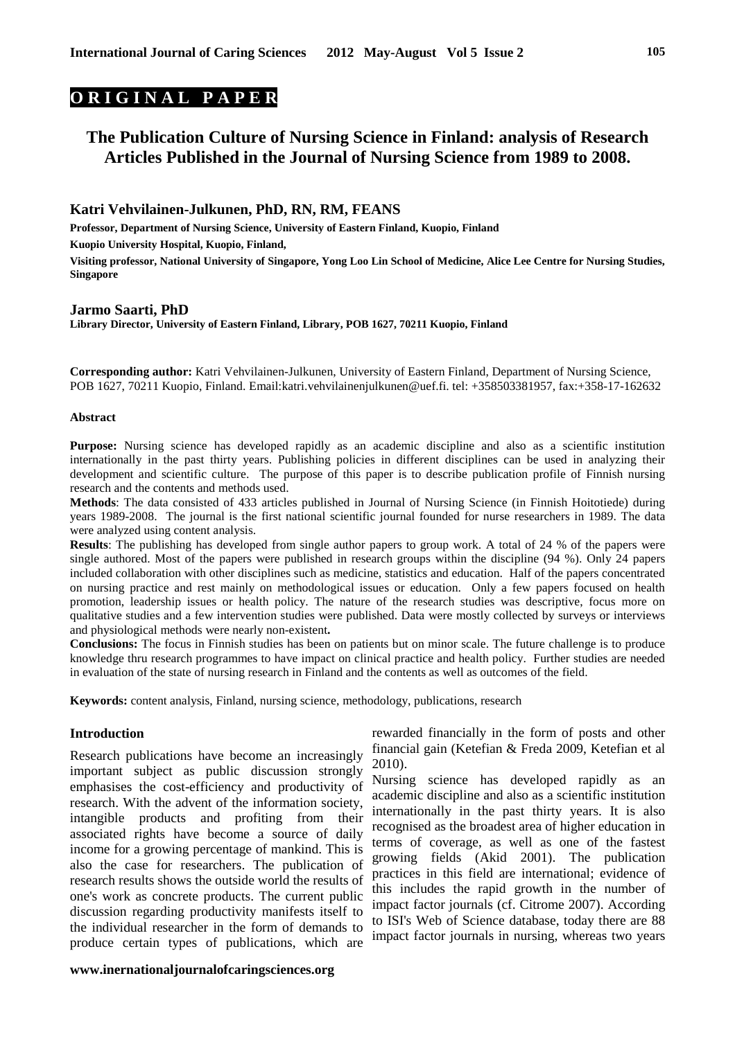# **O R I G I N A L P A P E R**

# **The Publication Culture of Nursing Science in Finland: analysis of Research Articles Published in the Journal of Nursing Science from 1989 to 2008.**

# **Katri Vehvilainen-Julkunen, PhD, RN, RM, FEANS**

**Professor, Department of Nursing Science, University of Eastern Finland, Kuopio, Finland Kuopio University Hospital, Kuopio, Finland, Visiting professor, National University of Singapore, Yong Loo Lin School of Medicine, Alice Lee Centre for Nursing Studies, Singapore** 

#### **Jarmo Saarti, PhD**

**Library Director, University of Eastern Finland, Library, POB 1627, 70211 Kuopio, Finland** 

**Corresponding author:** Katri Vehvilainen-Julkunen, University of Eastern Finland, Department of Nursing Science, POB 1627, 70211 Kuopio, Finland. Email:katri.vehvilainenjulkunen@uef.fi. tel: +358503381957, fax:+358-17-162632

#### **Abstract**

**Purpose:** Nursing science has developed rapidly as an academic discipline and also as a scientific institution internationally in the past thirty years. Publishing policies in different disciplines can be used in analyzing their development and scientific culture. The purpose of this paper is to describe publication profile of Finnish nursing research and the contents and methods used.

**Methods**: The data consisted of 433 articles published in Journal of Nursing Science (in Finnish Hoitotiede) during years 1989-2008. The journal is the first national scientific journal founded for nurse researchers in 1989. The data were analyzed using content analysis.

**Results**: The publishing has developed from single author papers to group work. A total of 24 % of the papers were single authored. Most of the papers were published in research groups within the discipline (94 %). Only 24 papers included collaboration with other disciplines such as medicine, statistics and education. Half of the papers concentrated on nursing practice and rest mainly on methodological issues or education. Only a few papers focused on health promotion, leadership issues or health policy. The nature of the research studies was descriptive, focus more on qualitative studies and a few intervention studies were published. Data were mostly collected by surveys or interviews and physiological methods were nearly non-existent**.** 

**Conclusions:** The focus in Finnish studies has been on patients but on minor scale. The future challenge is to produce knowledge thru research programmes to have impact on clinical practice and health policy. Further studies are needed in evaluation of the state of nursing research in Finland and the contents as well as outcomes of the field.

**Keywords:** content analysis, Finland, nursing science, methodology, publications, research

#### **Introduction**

Research publications have become an increasingly important subject as public discussion strongly emphasises the cost-efficiency and productivity of research. With the advent of the information society, intangible products and profiting from their associated rights have become a source of daily income for a growing percentage of mankind. This is also the case for researchers. The publication of research results shows the outside world the results of one's work as concrete products. The current public discussion regarding productivity manifests itself to the individual researcher in the form of demands to produce certain types of publications, which are

# **www.inernationaljournalofcaringsciences.org**

rewarded financially in the form of posts and other financial gain (Ketefian & Freda 2009, Ketefian et al 2010).

Nursing science has developed rapidly as an academic discipline and also as a scientific institution internationally in the past thirty years. It is also recognised as the broadest area of higher education in terms of coverage, as well as one of the fastest growing fields (Akid 2001). The publication practices in this field are international; evidence of this includes the rapid growth in the number of impact factor journals (cf. Citrome 2007). According to ISI's Web of Science database, today there are 88 impact factor journals in nursing, whereas two years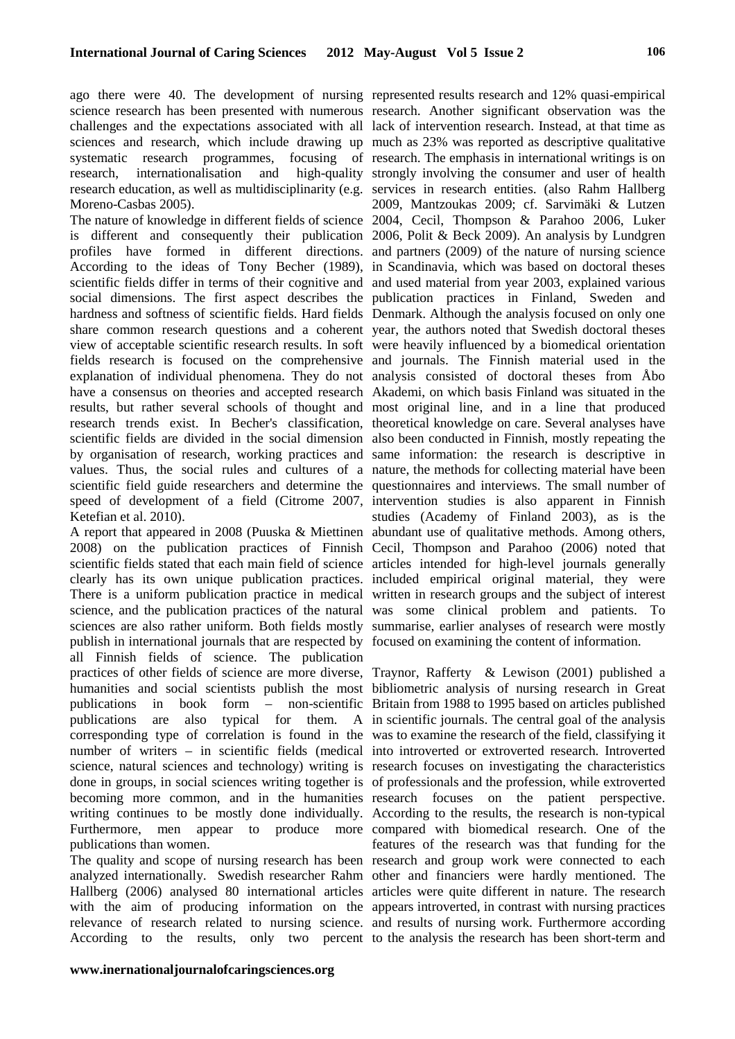ago there were 40. The development of nursing represented results research and 12% quasi-empirical science research has been presented with numerous research. Another significant observation was the challenges and the expectations associated with all lack of intervention research. Instead, at that time as sciences and research, which include drawing up much as 23% was reported as descriptive qualitative systematic research programmes, focusing of research. The emphasis in international writings is on research, internationalisation and research education, as well as multidisciplinarity (e.g. services in research entities. (also Rahm Hallberg Moreno-Casbas 2005).

The nature of knowledge in different fields of science 2004, Cecil, Thompson & Parahoo 2006, Luker is different and consequently their publication 2006, Polit & Beck 2009). An analysis by Lundgren profiles have formed in different directions. and partners (2009) of the nature of nursing science According to the ideas of Tony Becher (1989), in Scandinavia, which was based on doctoral theses scientific fields differ in terms of their cognitive and and used material from year 2003, explained various social dimensions. The first aspect describes the publication practices in Finland, Sweden and hardness and softness of scientific fields. Hard fields Denmark. Although the analysis focused on only one share common research questions and a coherent year, the authors noted that Swedish doctoral theses view of acceptable scientific research results. In soft were heavily influenced by a biomedical orientation fields research is focused on the comprehensive and journals. The Finnish material used in the explanation of individual phenomena. They do not analysis consisted of doctoral theses from Åbo have a consensus on theories and accepted research Akademi, on which basis Finland was situated in the results, but rather several schools of thought and most original line, and in a line that produced research trends exist. In Becher's classification, theoretical knowledge on care. Several analyses have scientific fields are divided in the social dimension also been conducted in Finnish, mostly repeating the by organisation of research, working practices and same information: the research is descriptive in values. Thus, the social rules and cultures of a nature, the methods for collecting material have been scientific field guide researchers and determine the questionnaires and interviews. The small number of speed of development of a field (Citrome 2007, intervention studies is also apparent in Finnish Ketefian et al. 2010).

A report that appeared in 2008 (Puuska & Miettinen abundant use of qualitative methods. Among others, 2008) on the publication practices of Finnish Cecil, Thompson and Parahoo (2006) noted that scientific fields stated that each main field of science articles intended for high-level journals generally clearly has its own unique publication practices. included empirical original material, they were There is a uniform publication practice in medical written in research groups and the subject of interest science, and the publication practices of the natural was some clinical problem and patients. To sciences are also rather uniform. Both fields mostly summarise, earlier analyses of research were mostly publish in international journals that are respected by focused on examining the content of information. all Finnish fields of science. The publication practices of other fields of science are more diverse, Traynor, Rafferty & Lewison (2001) published a humanities and social scientists publish the most bibliometric analysis of nursing research in Great publications in book form – non-scientific Britain from 1988 to 1995 based on articles published publications are also typical for them. A in scientific journals. The central goal of the analysis corresponding type of correlation is found in the was to examine the research of the field, classifying it number of writers – in scientific fields (medical into introverted or extroverted research. Introverted science, natural sciences and technology) writing is research focuses on investigating the characteristics done in groups, in social sciences writing together is of professionals and the profession, while extroverted becoming more common, and in the humanities research focuses on the patient perspective. writing continues to be mostly done individually. According to the results, the research is non-typical Furthermore, men appear to produce more compared with biomedical research. One of the publications than women.

The quality and scope of nursing research has been research and group work were connected to each analyzed internationally. Swedish researcher Rahm other and financiers were hardly mentioned. The Hallberg (2006) analysed 80 international articles articles were quite different in nature. The research with the aim of producing information on the appears introverted, in contrast with nursing practices relevance of research related to nursing science. and results of nursing work. Furthermore according According to the results, only two percent to the analysis the research has been short-term and

high-quality strongly involving the consumer and user of health 2009, Mantzoukas 2009; cf. Sarvimäki & Lutzen studies (Academy of Finland 2003), as is the

features of the research was that funding for the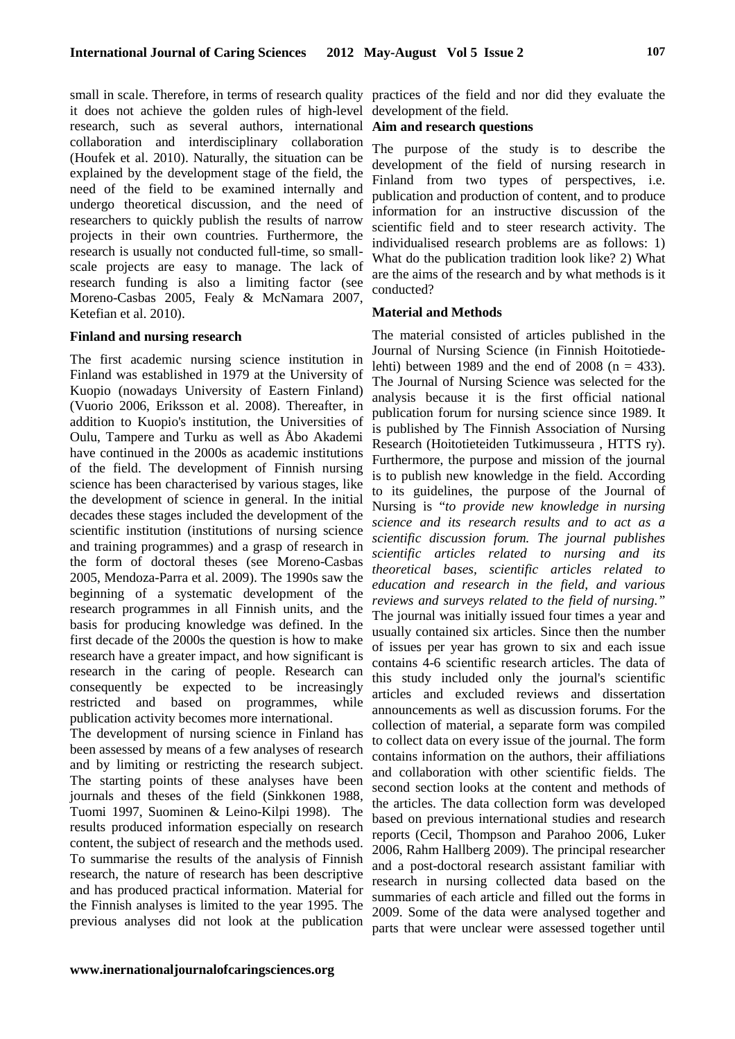small in scale. Therefore, in terms of research quality practices of the field and nor did they evaluate the it does not achieve the golden rules of high-level research, such as several authors, international collaboration and interdisciplinary collaboration (Houfek et al. 2010). Naturally, the situation can be explained by the development stage of the field, the need of the field to be examined internally and undergo theoretical discussion, and the need of researchers to quickly publish the results of narrow projects in their own countries. Furthermore, the research is usually not conducted full-time, so smallscale projects are easy to manage. The lack of research funding is also a limiting factor (see Moreno-Casbas 2005, Fealy & McNamara 2007, Ketefian et al. 2010).

### **Finland and nursing research**

The first academic nursing science institution in Finland was established in 1979 at the University of Kuopio (nowadays University of Eastern Finland) (Vuorio 2006, Eriksson et al. 2008). Thereafter, in addition to Kuopio's institution, the Universities of Oulu, Tampere and Turku as well as Åbo Akademi have continued in the 2000s as academic institutions of the field. The development of Finnish nursing science has been characterised by various stages, like the development of science in general. In the initial decades these stages included the development of the scientific institution (institutions of nursing science and training programmes) and a grasp of research in the form of doctoral theses (see Moreno-Casbas 2005, Mendoza-Parra et al. 2009). The 1990s saw the beginning of a systematic development of the research programmes in all Finnish units, and the basis for producing knowledge was defined. In the first decade of the 2000s the question is how to make research have a greater impact, and how significant is research in the caring of people. Research can consequently be expected to be increasingly restricted and based on programmes, while publication activity becomes more international.

The development of nursing science in Finland has been assessed by means of a few analyses of research and by limiting or restricting the research subject. The starting points of these analyses have been journals and theses of the field (Sinkkonen 1988, Tuomi 1997, Suominen & Leino-Kilpi 1998). The results produced information especially on research content, the subject of research and the methods used. To summarise the results of the analysis of Finnish research, the nature of research has been descriptive and has produced practical information. Material for the Finnish analyses is limited to the year 1995. The previous analyses did not look at the publication

development of the field.

# **Aim and research questions**

The purpose of the study is to describe the development of the field of nursing research in Finland from two types of perspectives, i.e. publication and production of content, and to produce information for an instructive discussion of the scientific field and to steer research activity. The individualised research problems are as follows: 1) What do the publication tradition look like? 2) What are the aims of the research and by what methods is it conducted?

# **Material and Methods**

The material consisted of articles published in the Journal of Nursing Science (in Finnish Hoitotiedelehti) between 1989 and the end of 2008 ( $n = 433$ ). The Journal of Nursing Science was selected for the analysis because it is the first official national publication forum for nursing science since 1989. It is published by The Finnish Association of Nursing Research (Hoitotieteiden Tutkimusseura , HTTS ry). Furthermore, the purpose and mission of the journal is to publish new knowledge in the field. According to its guidelines, the purpose of the Journal of Nursing is "*to provide new knowledge in nursing science and its research results and to act as a scientific discussion forum. The journal publishes scientific articles related to nursing and its theoretical bases, scientific articles related to education and research in the field, and various reviews and surveys related to the field of nursing."*  The journal was initially issued four times a year and usually contained six articles. Since then the number of issues per year has grown to six and each issue contains 4-6 scientific research articles. The data of this study included only the journal's scientific articles and excluded reviews and dissertation announcements as well as discussion forums. For the collection of material, a separate form was compiled to collect data on every issue of the journal. The form contains information on the authors, their affiliations and collaboration with other scientific fields. The second section looks at the content and methods of the articles. The data collection form was developed based on previous international studies and research reports (Cecil, Thompson and Parahoo 2006, Luker 2006, Rahm Hallberg 2009). The principal researcher and a post-doctoral research assistant familiar with research in nursing collected data based on the summaries of each article and filled out the forms in 2009. Some of the data were analysed together and parts that were unclear were assessed together until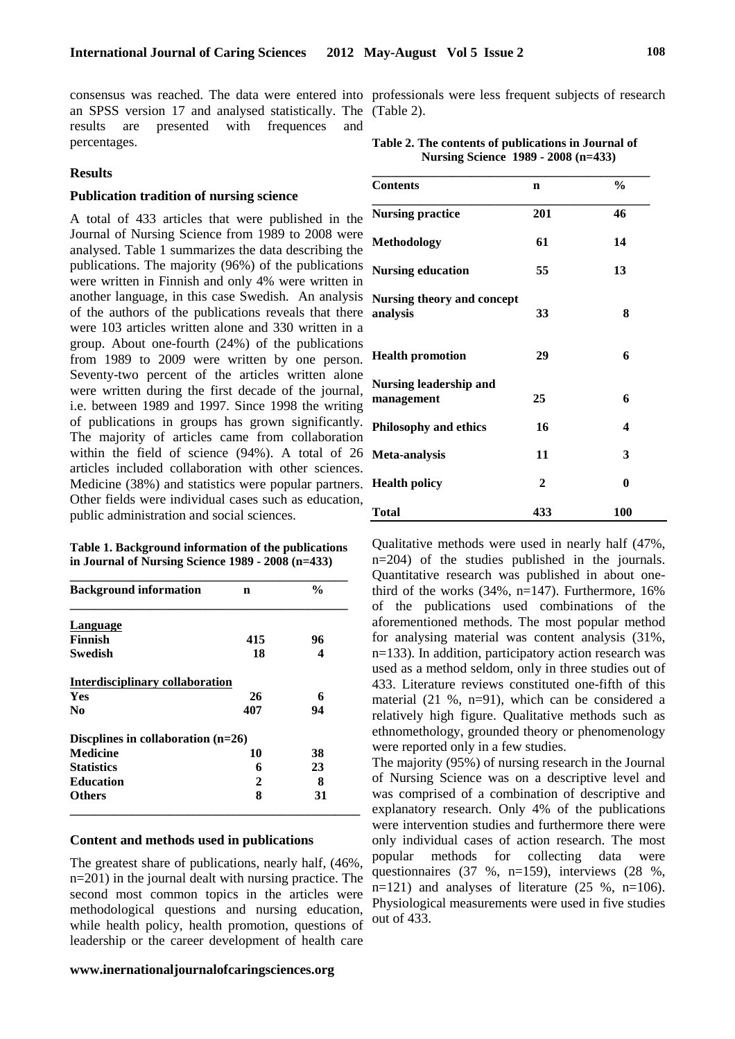an SPSS version 17 and analysed statistically. The (Table 2). results are presented with frequences and percentages.

# **Results**

## **Publication tradition of nursing science**

A total of 433 articles that were published in the Journal of Nursing Science from 1989 to 2008 were analysed. Table 1 summarizes the data describing the publications. The majority (96%) of the publications were written in Finnish and only 4% were written in another language, in this case Swedish. An analysis of the authors of the publications reveals that there were 103 articles written alone and 330 written in a group. About one-fourth (24%) of the publications from 1989 to 2009 were written by one person. Seventy-two percent of the articles written alone were written during the first decade of the journal, i.e. between 1989 and 1997. Since 1998 the writing of publications in groups has grown significantly. The majority of articles came from collaboration within the field of science (94%). A total of 26 articles included collaboration with other sciences. Medicine (38%) and statistics were popular partners. Other fields were individual cases such as education, public administration and social sciences.

**Table 1. Background information of the publications in Journal of Nursing Science 1989 - 2008 (n=433)** 

| <b>Background information</b>          | n   | $\frac{0}{0}$ |
|----------------------------------------|-----|---------------|
| Language                               |     |               |
| <b>Finnish</b>                         | 415 | 96            |
| Swedish                                | 18  | 4             |
| <b>Interdisciplinary collaboration</b> |     |               |
| <b>Yes</b>                             | 26  | 6             |
| No                                     | 407 | 94            |
| Discplines in collaboration $(n=26)$   |     |               |
| <b>Medicine</b>                        | 10  | 38            |
| <b>Statistics</b>                      | 6   | 23            |
| <b>Education</b>                       | 2   | 8             |
| Others                                 | 8   | 31            |

#### **Content and methods used in publications**

The greatest share of publications, nearly half, (46%, n=201) in the journal dealt with nursing practice. The second most common topics in the articles were methodological questions and nursing education, while health policy, health promotion, questions of leadership or the career development of health care

#### **www.inernationaljournalofcaringsciences.org**

consensus was reached. The data were entered into professionals were less frequent subjects of research

| Table 2. The contents of publications in Journal of |                                     |
|-----------------------------------------------------|-------------------------------------|
|                                                     | Nursing Science 1989 - 2008 (n=433) |

| <b>Contents</b>                             | n            | $\frac{6}{9}$    |  |
|---------------------------------------------|--------------|------------------|--|
| <b>Nursing practice</b>                     | 201          | 46               |  |
| <b>Methodology</b>                          | 61           | 14               |  |
| <b>Nursing education</b>                    | 55           | 13               |  |
| Nursing theory and concept<br>analysis      | 33           | 8                |  |
| <b>Health promotion</b>                     | 29           | 6                |  |
| <b>Nursing leadership and</b><br>management | 25           | 6                |  |
| <b>Philosophy and ethics</b>                | 16           | $\boldsymbol{4}$ |  |
| Meta-analysis                               | 11           | 3                |  |
| <b>Health policy</b>                        | $\mathbf{2}$ | 0                |  |
| Total                                       | 433          | <b>100</b>       |  |

Qualitative methods were used in nearly half (47%, n=204) of the studies published in the journals. Quantitative research was published in about onethird of the works (34%, n=147). Furthermore, 16% of the publications used combinations of the aforementioned methods. The most popular method for analysing material was content analysis (31%, n=133). In addition, participatory action research was used as a method seldom, only in three studies out of 433. Literature reviews constituted one-fifth of this material (21 %, n=91), which can be considered a relatively high figure. Qualitative methods such as ethnomethology, grounded theory or phenomenology were reported only in a few studies.

The majority (95%) of nursing research in the Journal of Nursing Science was on a descriptive level and was comprised of a combination of descriptive and explanatory research. Only 4% of the publications were intervention studies and furthermore there were only individual cases of action research. The most popular methods for collecting data were questionnaires (37 %, n=159), interviews (28 %,  $n=121$ ) and analyses of literature (25 %,  $n=106$ ). Physiological measurements were used in five studies out of 433.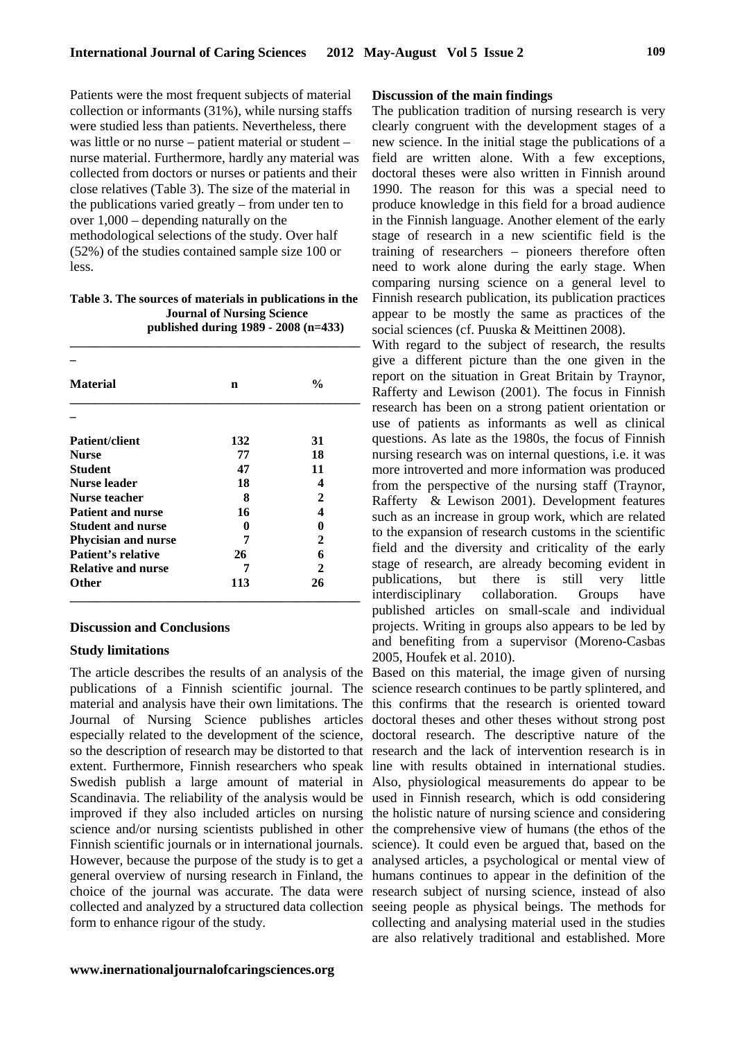Patients were the most frequent subjects of material collection or informants (31%), while nursing staffs were studied less than patients. Nevertheless, there was little or no nurse – patient material or student – nurse material. Furthermore, hardly any material was collected from doctors or nurses or patients and their close relatives (Table 3). The size of the material in the publications varied greatly – from under ten to over 1,000 – depending naturally on the methodological selections of the study. Over half (52%) of the studies contained sample size 100 or  $l$ ess.

**Table 3. The sources of materials in publications in the Journal of Nursing Science published during 1989 - 2008 (n=433)** 

**\_\_\_\_\_\_\_\_\_\_\_\_\_\_\_\_\_\_\_\_\_\_\_\_\_\_\_\_\_\_\_\_\_\_\_\_\_\_\_\_\_\_\_\_\_\_\_**

| <b>Material</b>            | n   | $\frac{0}{0}$ |  |
|----------------------------|-----|---------------|--|
|                            |     |               |  |
| <b>Patient/client</b>      | 132 | 31            |  |
| <b>Nurse</b>               | 77  | 18            |  |
| <b>Student</b>             | 47  | 11            |  |
| <b>Nurse leader</b>        | 18  | 4             |  |
| Nurse teacher              | 8   | 2             |  |
| <b>Patient and nurse</b>   | 16  | 4             |  |
| <b>Student and nurse</b>   | 0   | 0             |  |
| <b>Phycisian and nurse</b> | 7   | 2             |  |
| Patient's relative         | 26  | 6             |  |
| <b>Relative and nurse</b>  | 7   | 2             |  |
| Other                      | 113 | 26            |  |

## **Discussion and Conclusions**

#### **Study limitations**

general overview of nursing research in Finland, the humans continues to appear in the definition of the form to enhance rigour of the study.

# **Discussion of the main findings**

The publication tradition of nursing research is very clearly congruent with the development stages of a new science. In the initial stage the publications of a field are written alone. With a few exceptions, doctoral theses were also written in Finnish around 1990. The reason for this was a special need to produce knowledge in this field for a broad audience in the Finnish language. Another element of the early stage of research in a new scientific field is the training of researchers – pioneers therefore often need to work alone during the early stage. When comparing nursing science on a general level to Finnish research publication, its publication practices appear to be mostly the same as practices of the social sciences (cf. Puuska & Meittinen 2008).

With regard to the subject of research, the results give a different picture than the one given in the report on the situation in Great Britain by Traynor, Rafferty and Lewison (2001). The focus in Finnish research has been on a strong patient orientation or use of patients as informants as well as clinical questions. As late as the 1980s, the focus of Finnish nursing research was on internal questions, i.e. it was more introverted and more information was produced from the perspective of the nursing staff (Traynor, Rafferty & Lewison 2001). Development features such as an increase in group work, which are related to the expansion of research customs in the scientific field and the diversity and criticality of the early stage of research, are already becoming evident in publications, but there is still very little interdisciplinary collaboration. Groups have published articles on small-scale and individual projects. Writing in groups also appears to be led by and benefiting from a supervisor (Moreno-Casbas 2005, Houfek et al. 2010).

The article describes the results of an analysis of the Based on this material, the image given of nursing publications of a Finnish scientific journal. The science research continues to be partly splintered, and material and analysis have their own limitations. The this confirms that the research is oriented toward Journal of Nursing Science publishes articles doctoral theses and other theses without strong post especially related to the development of the science, doctoral research. The descriptive nature of the so the description of research may be distorted to that research and the lack of intervention research is in extent. Furthermore, Finnish researchers who speak line with results obtained in international studies. Swedish publish a large amount of material in Also, physiological measurements do appear to be Scandinavia. The reliability of the analysis would be used in Finnish research, which is odd considering improved if they also included articles on nursing the holistic nature of nursing science and considering science and/or nursing scientists published in other the comprehensive view of humans (the ethos of the Finnish scientific journals or in international journals. science). It could even be argued that, based on the However, because the purpose of the study is to get a analysed articles, a psychological or mental view of choice of the journal was accurate. The data were research subject of nursing science, instead of also collected and analyzed by a structured data collection seeing people as physical beings. The methods for collecting and analysing material used in the studies are also relatively traditional and established. More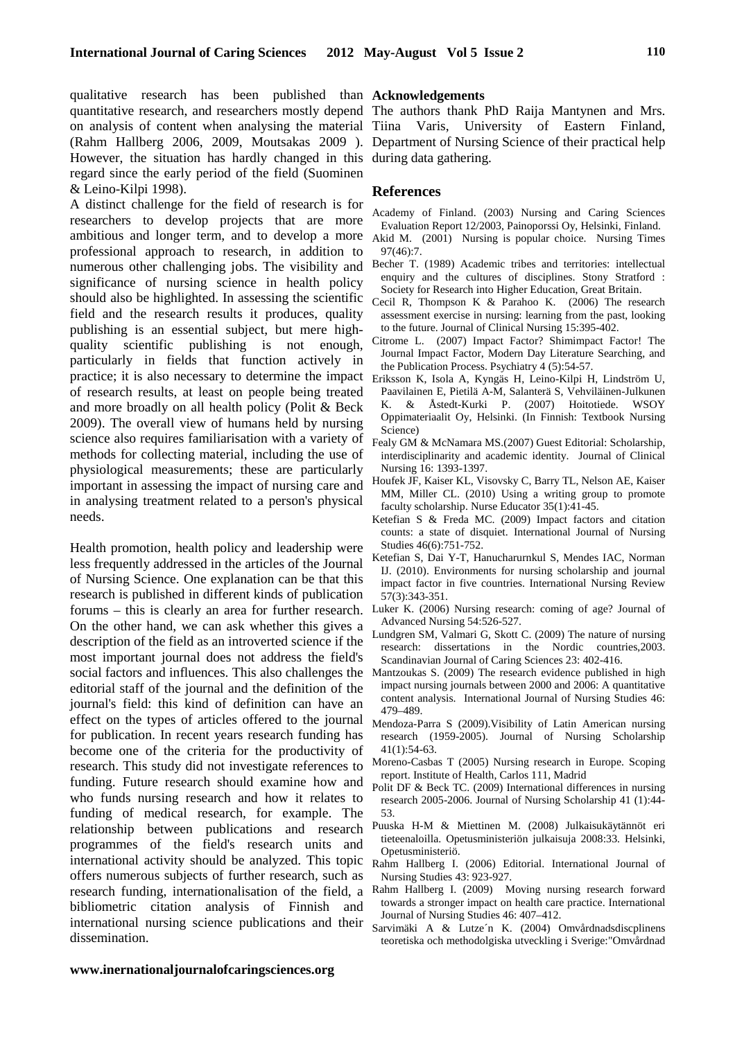qualitative research has been published than **Acknowledgements**  quantitative research, and researchers mostly depend The authors thank PhD Raija Mantynen and Mrs. on analysis of content when analysing the material Tiina Varis, University of Eastern Finland, (Rahm Hallberg 2006, 2009, Moutsakas 2009 ). Department of Nursing Science of their practical help However, the situation has hardly changed in this during data gathering. regard since the early period of the field (Suominen & Leino-Kilpi 1998).

A distinct challenge for the field of research is for researchers to develop projects that are more ambitious and longer term, and to develop a more professional approach to research, in addition to numerous other challenging jobs. The visibility and significance of nursing science in health policy should also be highlighted. In assessing the scientific field and the research results it produces, quality publishing is an essential subject, but mere highquality scientific publishing is not enough, particularly in fields that function actively in practice; it is also necessary to determine the impact Eriksson K, Isola A, Kyngäs H, Leino-Kilpi H, Lindström U, of research results, at least on people being treated and more broadly on all health policy (Polit & Beck 2009). The overall view of humans held by nursing science also requires familiarisation with a variety of methods for collecting material, including the use of physiological measurements; these are particularly important in assessing the impact of nursing care and in analysing treatment related to a person's physical needs.

Health promotion, health policy and leadership were less frequently addressed in the articles of the Journal of Nursing Science. One explanation can be that this research is published in different kinds of publication forums – this is clearly an area for further research. On the other hand, we can ask whether this gives a description of the field as an introverted science if the most important journal does not address the field's social factors and influences. This also challenges the Mantzoukas S. (2009) The research evidence published in high editorial staff of the journal and the definition of the journal's field: this kind of definition can have an effect on the types of articles offered to the journal for publication. In recent years research funding has become one of the criteria for the productivity of research. This study did not investigate references to funding. Future research should examine how and who funds nursing research and how it relates to funding of medical research, for example. The relationship between publications and research programmes of the field's research units and international activity should be analyzed. This topic offers numerous subjects of further research, such as research funding, internationalisation of the field, a Rahm Hallberg I. (2009) Moving nursing research forward bibliometric citation analysis of Finnish and international nursing science publications and their dissemination.

# **References**

- Academy of Finland. (2003) Nursing and Caring Sciences Evaluation Report 12/2003, Painoporssi Oy, Helsinki, Finland.
- Akid M. (2001) Nursing is popular choice. Nursing Times 97(46):7.
- Becher T. (1989) Academic tribes and territories: intellectual enquiry and the cultures of disciplines. Stony Stratford : Society for Research into Higher Education, Great Britain.
- Cecil R, Thompson K & Parahoo K. (2006) The research assessment exercise in nursing: learning from the past, looking to the future. Journal of Clinical Nursing 15:395-402.
- Citrome L. (2007) Impact Factor? Shimimpact Factor! The Journal Impact Factor, Modern Day Literature Searching, and the Publication Process. Psychiatry 4 (5):54-57.
- Paavilainen E, Pietilä A-M, Salanterä S, Vehviläinen-Julkunen K. & Åstedt-Kurki P. (2007) Hoitotiede. WSOY Oppimateriaalit Oy, Helsinki. (In Finnish: Textbook Nursing Science)
- Fealy GM & McNamara MS.(2007) Guest Editorial: Scholarship, interdisciplinarity and academic identity. Journal of Clinical Nursing 16: 1393-1397.
- Houfek JF, Kaiser KL, Visovsky C, Barry TL, Nelson AE, Kaiser MM, Miller CL. (2010) Using a writing group to promote faculty scholarship. Nurse Educator 35(1):41-45.
- Ketefian S & Freda MC. (2009) Impact factors and citation counts: a state of disquiet. International Journal of Nursing Studies 46(6):751-752.
- Ketefian S, Dai Y-T, Hanucharurnkul S, Mendes IAC, Norman IJ. (2010). Environments for nursing scholarship and journal impact factor in five countries. International Nursing Review 57(3):343-351.
- Luker K. (2006) Nursing research: coming of age? Journal of Advanced Nursing 54:526-527.
- Lundgren SM, Valmari G, Skott C. (2009) The nature of nursing research: dissertations in the Nordic countries,2003. Scandinavian Journal of Caring Sciences 23: 402-416.
- impact nursing journals between 2000 and 2006: A quantitative content analysis. International Journal of Nursing Studies 46: 479–489.
- Mendoza-Parra S (2009).Visibility of Latin American nursing research (1959-2005). Journal of Nursing Scholarship 41(1):54-63.
- Moreno-Casbas T (2005) Nursing research in Europe. Scoping report. Institute of Health, Carlos 111, Madrid
- Polit DF & Beck TC. (2009) International differences in nursing research 2005-2006. Journal of Nursing Scholarship 41 (1):44- 53.
- Puuska H-M & Miettinen M. (2008) Julkaisukäytännöt eri tieteenaloilla. Opetusministeriön julkaisuja 2008:33. Helsinki, Opetusministeriö.
- Rahm Hallberg I. (2006) Editorial. International Journal of Nursing Studies 43: 923-927.
- towards a stronger impact on health care practice. International Journal of Nursing Studies 46: 407–412.
- Sarvimäki A & Lutze´n K. (2004) Omvårdnadsdiscplinens teoretiska och methodolgiska utveckling i Sverige:"Omvårdnad